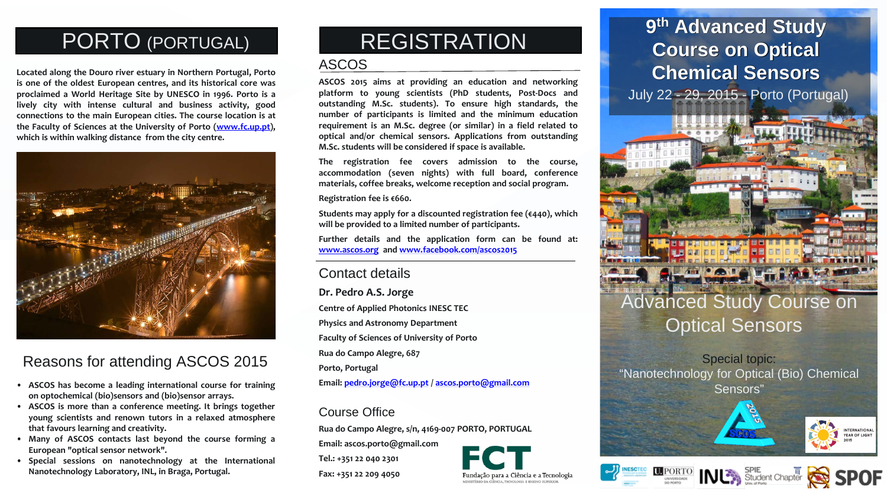# Advanced Study Course on Optical Sensors

Special topic: "Nanotechnology for Optical (Bio) Chemical









NTERNATIONAL YEAR OF LIGHT

- Sensors" **ASCOS has become <sup>a</sup> leading international course for training on optochemical (bio)sensors and (bio)sensor arrays.**
- **ASCOS is more than a conference meeting. It brings together young scientists and renown tutors in a relaxed atmosphere that favours learning and creativity.**
- **Many of ASCOS contacts last beyond the course forming a European "optical sensor network".**
- **Special sessions on nanotechnology at the International Nanotechnology Laboratory, INL, in Braga, Portugal.**

**Located along the Douro river estuary in Northern Portugal, Porto is one of the oldest European centres, and its historical core was proclaimed a World Heritage Site by UNESCO in 1996. Porto is a lively city with intense cultural and business activity, good connections to the main European cities. The course location is at the Faculty of Sciences at the University of Porto ([www.fc.up.pt\)](http://www.fc.up.pt), which is within walking distance from the city centre.**



# PORTO (PORTUGAL)

## Reasons for attending ASCOS 2015

#### ASCOS

# **9th Advanced Study Course on Optical Chemical Sensors**  July 22 - 29, 2015 - Porto (Portugal)

**ASCOS 2015 aims at providing an education and networking platform to young scientists (PhD students, Post-Docs and outstanding M.Sc. students). To ensure high standards, the number of participants is limited and the minimum education requirement is an M.Sc. degree (or similar) in a field related to optical and/or chemical sensors. Applications from outstanding M.Sc. students will be considered if space is available.**

**The registration fee covers admission to the course, accommodation (seven nights) with full board, conference materials, coffee breaks, welcome reception and social program.**

**Registration fee is €660.**

**Students may apply for a discounted registration fee (€440), which will be provided to a limited number of participants.**

**Further details and the application form can be found at: [www.ascos.org](http://www.ascos.org/) and [www.facebook.com/ascos2015](http://www.facebook.com/ascos2015)**

### Contact details

**Dr. Pedro A.S. Jorge Centre of Applied Photonics INESC TEC Physics and Astronomy Department Faculty of Sciences of University of Porto Rua do Campo Alegre, 687 Porto, Portugal Email: [pedro.jorge@fc.up.pt](mailto:pedro.jorge@fc.up.pt) / [ascos.porto@gmail.com](mailto:ascos.porto@gmail.com)**

#### Course Office

**Rua do Campo Alegre, s/n, 4169-007 PORTO, PORTUGAL**

**Email: ascos.porto@gmail.com**

**Tel.: +351 22 040 2301**

**Fax: +351 22 209 4050**





# REGISTRATION